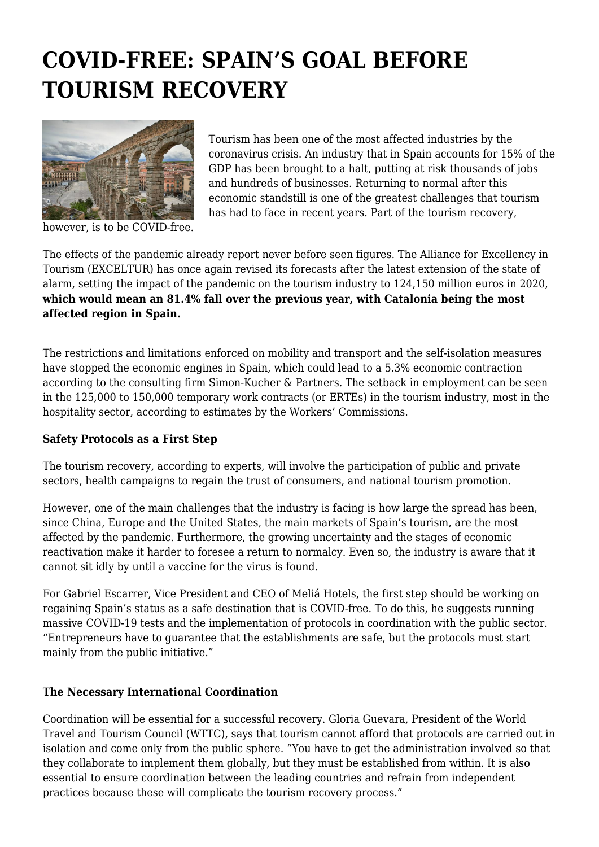# **COVID-FREE: SPAIN'S GOAL BEFORE TOURISM RECOVERY**



Tourism has been one of the most affected industries by the coronavirus crisis. An industry that in Spain accounts for 15% of the GDP has been brought to a halt, putting at risk thousands of jobs and hundreds of businesses. Returning to normal after this economic standstill is one of the greatest challenges that tourism has had to face in recent years. Part of the tourism recovery,

however, is to be COVID-free.

The effects of the pandemic already report never before seen figures. The Alliance for Excellency in Tourism (EXCELTUR) has once again revised its forecasts after the latest extension of the state of alarm, setting the impact of the pandemic on the tourism industry to 124,150 million euros in 2020, **which would mean an 81.4% fall over the previous year, with Catalonia being the most affected region in Spain.**

The restrictions and limitations enforced on mobility and transport and the self-isolation measures have stopped the economic engines in Spain, which could lead to a 5.3% economic contraction according to the consulting firm Simon-Kucher & Partners. The setback in employment can be seen in the 125,000 to 150,000 temporary work contracts (or ERTEs) in the tourism industry, most in the hospitality sector, according to estimates by the Workers' Commissions.

## **Safety Protocols as a First Step**

The tourism recovery, according to experts, will involve the participation of public and private sectors, health campaigns to regain the trust of consumers, and national tourism promotion.

However, one of the main challenges that the industry is facing is how large the spread has been, since China, Europe and the United States, the main markets of Spain's tourism, are the most affected by the pandemic. Furthermore, the growing uncertainty and the stages of economic reactivation make it harder to foresee a return to normalcy. Even so, the industry is aware that it cannot sit idly by until a vaccine for the virus is found.

For Gabriel Escarrer, Vice President and CEO of Meliá Hotels, the first step should be working on regaining Spain's status as a safe destination that is COVID-free. To do this, he suggests running massive COVID-19 tests and the implementation of protocols in coordination with the public sector. "Entrepreneurs have to guarantee that the establishments are safe, but the protocols must start mainly from the public initiative."

## **The Necessary International Coordination**

Coordination will be essential for a successful recovery. Gloria Guevara, President of the World Travel and Tourism Council (WTTC), says that tourism cannot afford that protocols are carried out in isolation and come only from the public sphere. "You have to get the administration involved so that they collaborate to implement them globally, but they must be established from within. It is also essential to ensure coordination between the leading countries and refrain from independent practices because these will complicate the tourism recovery process."